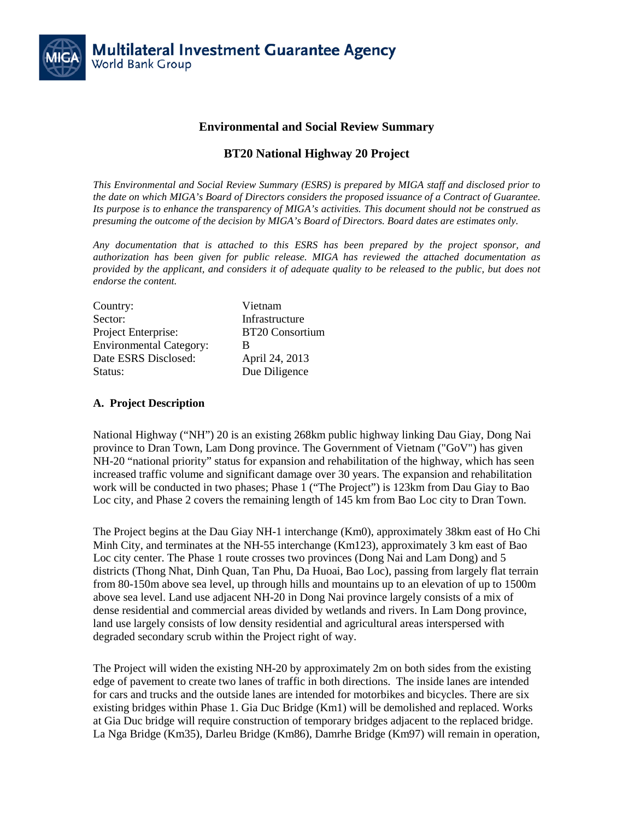

### **Environmental and Social Review Summary**

# **BT20 National Highway 20 Project**

*This Environmental and Social Review Summary (ESRS) is prepared by MIGA staff and disclosed prior to the date on which MIGA's Board of Directors considers the proposed issuance of a Contract of Guarantee. Its purpose is to enhance the transparency of MIGA's activities. This document should not be construed as presuming the outcome of the decision by MIGA's Board of Directors. Board dates are estimates only.*

*Any documentation that is attached to this ESRS has been prepared by the project sponsor, and authorization has been given for public release. MIGA has reviewed the attached documentation as provided by the applicant, and considers it of adequate quality to be released to the public, but does not endorse the content.*

| Vietnam                |
|------------------------|
| Infrastructure         |
| <b>BT20 Consortium</b> |
| в                      |
| April 24, 2013         |
| Due Diligence          |
|                        |

#### **A. Project Description**

National Highway ("NH") 20 is an existing 268km public highway linking Dau Giay, Dong Nai province to Dran Town, Lam Dong province. The Government of Vietnam ("GoV") has given NH-20 "national priority" status for expansion and rehabilitation of the highway, which has seen increased traffic volume and significant damage over 30 years. The expansion and rehabilitation work will be conducted in two phases; Phase 1 ("The Project") is 123km from Dau Giay to Bao Loc city, and Phase 2 covers the remaining length of 145 km from Bao Loc city to Dran Town.

The Project begins at the Dau Giay NH-1 interchange (Km0), approximately 38km east of Ho Chi Minh City, and terminates at the NH-55 interchange (Km123), approximately 3 km east of Bao Loc city center. The Phase 1 route crosses two provinces (Dong Nai and Lam Dong) and 5 districts (Thong Nhat, Dinh Quan, Tan Phu, Da Huoai, Bao Loc), passing from largely flat terrain from 80-150m above sea level, up through hills and mountains up to an elevation of up to 1500m above sea level. Land use adjacent NH-20 in Dong Nai province largely consists of a mix of dense residential and commercial areas divided by wetlands and rivers. In Lam Dong province, land use largely consists of low density residential and agricultural areas interspersed with degraded secondary scrub within the Project right of way.

The Project will widen the existing NH-20 by approximately 2m on both sides from the existing edge of pavement to create two lanes of traffic in both directions. The inside lanes are intended for cars and trucks and the outside lanes are intended for motorbikes and bicycles. There are six existing bridges within Phase 1. Gia Duc Bridge (Km1) will be demolished and replaced. Works at Gia Duc bridge will require construction of temporary bridges adjacent to the replaced bridge. La Nga Bridge (Km35), Darleu Bridge (Km86), Damrhe Bridge (Km97) will remain in operation,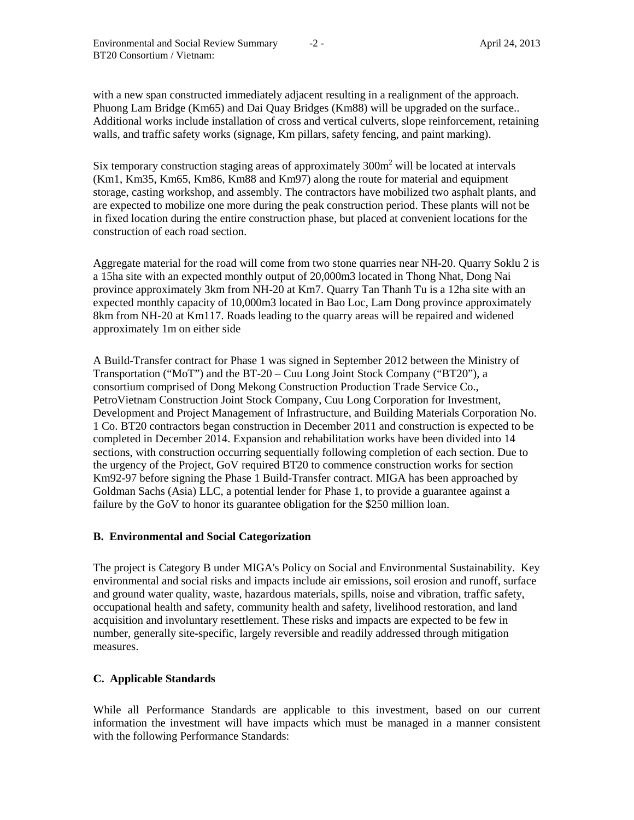with a new span constructed immediately adjacent resulting in a realignment of the approach. Phuong Lam Bridge (Km65) and Dai Quay Bridges (Km88) will be upgraded on the surface.. Additional works include installation of cross and vertical culverts, slope reinforcement, retaining walls, and traffic safety works (signage, Km pillars, safety fencing, and paint marking).

Six temporary construction staging areas of approximately  $300m<sup>2</sup>$  will be located at intervals (Km1, Km35, Km65, Km86, Km88 and Km97) along the route for material and equipment storage, casting workshop, and assembly. The contractors have mobilized two asphalt plants, and are expected to mobilize one more during the peak construction period. These plants will not be in fixed location during the entire construction phase, but placed at convenient locations for the construction of each road section.

Aggregate material for the road will come from two stone quarries near NH-20. Quarry Soklu 2 is a 15ha site with an expected monthly output of 20,000m3 located in Thong Nhat, Dong Nai province approximately 3km from NH-20 at Km7. Quarry Tan Thanh Tu is a 12ha site with an expected monthly capacity of 10,000m3 located in Bao Loc, Lam Dong province approximately 8km from NH-20 at Km117. Roads leading to the quarry areas will be repaired and widened approximately 1m on either side

A Build-Transfer contract for Phase 1 was signed in September 2012 between the Ministry of Transportation ("MoT") and the BT-20 – Cuu Long Joint Stock Company ("BT20"), a consortium comprised of Dong Mekong Construction Production Trade Service Co., PetroVietnam Construction Joint Stock Company, Cuu Long Corporation for Investment, Development and Project Management of Infrastructure, and Building Materials Corporation No. 1 Co. BT20 contractors began construction in December 2011 and construction is expected to be completed in December 2014. Expansion and rehabilitation works have been divided into 14 sections, with construction occurring sequentially following completion of each section. Due to the urgency of the Project, GoV required BT20 to commence construction works for section Km92-97 before signing the Phase 1 Build-Transfer contract. MIGA has been approached by Goldman Sachs (Asia) LLC, a potential lender for Phase 1, to provide a guarantee against a failure by the GoV to honor its guarantee obligation for the \$250 million loan.

### **B. Environmental and Social Categorization**

The project is Category B under MIGA's Policy on Social and Environmental Sustainability. Key environmental and social risks and impacts include air emissions, soil erosion and runoff, surface and ground water quality, waste, hazardous materials, spills, noise and vibration, traffic safety, occupational health and safety, community health and safety, livelihood restoration, and land acquisition and involuntary resettlement. These risks and impacts are expected to be few in number, generally site-specific, largely reversible and readily addressed through mitigation measures.

# **C. Applicable Standards**

While all Performance Standards are applicable to this investment, based on our current information the investment will have impacts which must be managed in a manner consistent with the following Performance Standards: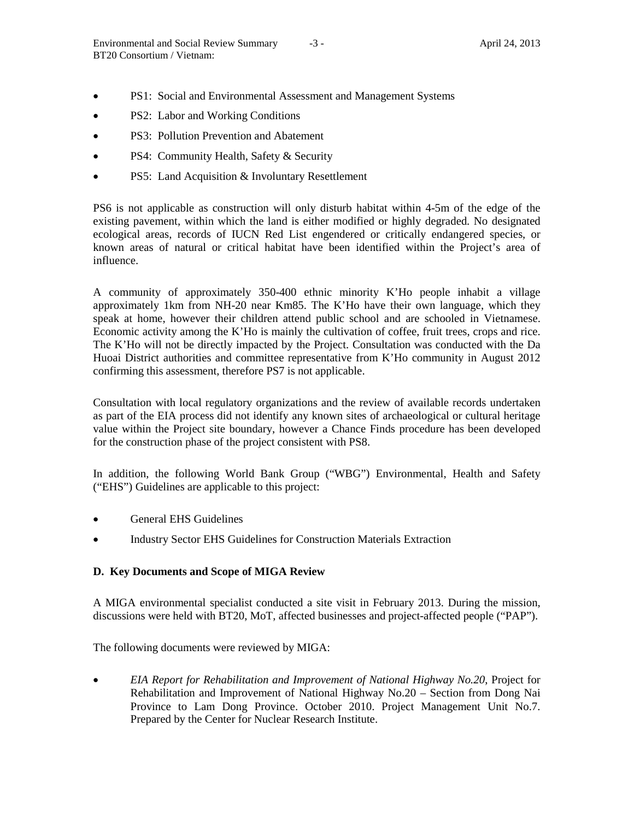- PS1: Social and Environmental Assessment and Management Systems
- PS2: Labor and Working Conditions
- PS3: Pollution Prevention and Abatement
- PS4: Community Health, Safety & Security
- PS5: Land Acquisition & Involuntary Resettlement

PS6 is not applicable as construction will only disturb habitat within 4-5m of the edge of the existing pavement, within which the land is either modified or highly degraded. No designated ecological areas, records of IUCN Red List engendered or critically endangered species, or known areas of natural or critical habitat have been identified within the Project's area of influence.

A community of approximately 350-400 ethnic minority K'Ho people inhabit a village approximately 1km from NH-20 near Km85. The K'Ho have their own language, which they speak at home, however their children attend public school and are schooled in Vietnamese. Economic activity among the K'Ho is mainly the cultivation of coffee, fruit trees, crops and rice. The K'Ho will not be directly impacted by the Project. Consultation was conducted with the Da Huoai District authorities and committee representative from K'Ho community in August 2012 confirming this assessment, therefore PS7 is not applicable.

Consultation with local regulatory organizations and the review of available records undertaken as part of the EIA process did not identify any known sites of archaeological or cultural heritage value within the Project site boundary, however a Chance Finds procedure has been developed for the construction phase of the project consistent with PS8.

In addition, the following World Bank Group ("WBG") Environmental, Health and Safety ("EHS") Guidelines are applicable to this project:

- General EHS Guidelines
- Industry Sector EHS Guidelines for Construction Materials Extraction

### **D. Key Documents and Scope of MIGA Review**

A MIGA environmental specialist conducted a site visit in February 2013. During the mission, discussions were held with BT20, MoT, affected businesses and project-affected people ("PAP").

The following documents were reviewed by MIGA:

• *EIA Report for Rehabilitation and Improvement of National Highway No.20*, Project for Rehabilitation and Improvement of National Highway No.20 – Section from Dong Nai Province to Lam Dong Province. October 2010. Project Management Unit No.7. Prepared by the Center for Nuclear Research Institute.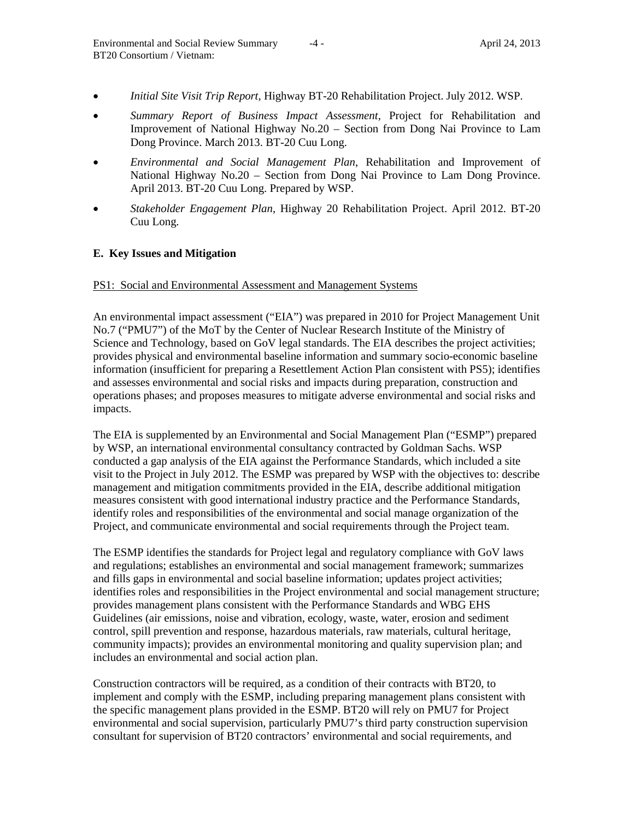- *Initial Site Visit Trip Report*, Highway BT-20 Rehabilitation Project. July 2012. WSP.
- *Summary Report of Business Impact Assessment*, Project for Rehabilitation and Improvement of National Highway No.20 – Section from Dong Nai Province to Lam Dong Province. March 2013. BT-20 Cuu Long.
- *Environmental and Social Management Plan*, Rehabilitation and Improvement of National Highway No.20 – Section from Dong Nai Province to Lam Dong Province. April 2013. BT-20 Cuu Long. Prepared by WSP.
- *Stakeholder Engagement Plan*, Highway 20 Rehabilitation Project. April 2012. BT-20 Cuu Long.

## **E. Key Issues and Mitigation**

### PS1: Social and Environmental Assessment and Management Systems

An environmental impact assessment ("EIA") was prepared in 2010 for Project Management Unit No.7 ("PMU7") of the MoT by the Center of Nuclear Research Institute of the Ministry of Science and Technology, based on GoV legal standards. The EIA describes the project activities; provides physical and environmental baseline information and summary socio-economic baseline information (insufficient for preparing a Resettlement Action Plan consistent with PS5); identifies and assesses environmental and social risks and impacts during preparation, construction and operations phases; and proposes measures to mitigate adverse environmental and social risks and impacts.

The EIA is supplemented by an Environmental and Social Management Plan ("ESMP") prepared by WSP, an international environmental consultancy contracted by Goldman Sachs. WSP conducted a gap analysis of the EIA against the Performance Standards, which included a site visit to the Project in July 2012. The ESMP was prepared by WSP with the objectives to: describe management and mitigation commitments provided in the EIA, describe additional mitigation measures consistent with good international industry practice and the Performance Standards, identify roles and responsibilities of the environmental and social manage organization of the Project, and communicate environmental and social requirements through the Project team.

The ESMP identifies the standards for Project legal and regulatory compliance with GoV laws and regulations; establishes an environmental and social management framework; summarizes and fills gaps in environmental and social baseline information; updates project activities; identifies roles and responsibilities in the Project environmental and social management structure; provides management plans consistent with the Performance Standards and WBG EHS Guidelines (air emissions, noise and vibration, ecology, waste, water, erosion and sediment control, spill prevention and response, hazardous materials, raw materials, cultural heritage, community impacts); provides an environmental monitoring and quality supervision plan; and includes an environmental and social action plan.

Construction contractors will be required, as a condition of their contracts with BT20, to implement and comply with the ESMP, including preparing management plans consistent with the specific management plans provided in the ESMP. BT20 will rely on PMU7 for Project environmental and social supervision, particularly PMU7's third party construction supervision consultant for supervision of BT20 contractors' environmental and social requirements, and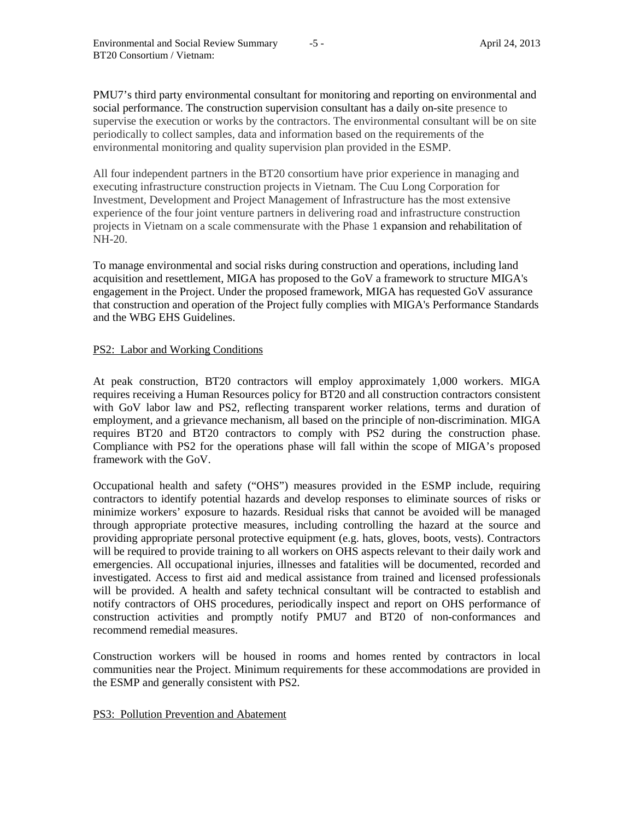PMU7's third party environmental consultant for monitoring and reporting on environmental and social performance. The construction supervision consultant has a daily on-site presence to supervise the execution or works by the contractors. The environmental consultant will be on site periodically to collect samples, data and information based on the requirements of the environmental monitoring and quality supervision plan provided in the ESMP.

All four independent partners in the BT20 consortium have prior experience in managing and executing infrastructure construction projects in Vietnam. The Cuu Long Corporation for Investment, Development and Project Management of Infrastructure has the most extensive experience of the four joint venture partners in delivering road and infrastructure construction projects in Vietnam on a scale commensurate with the Phase 1 expansion and rehabilitation of NH-20.

To manage environmental and social risks during construction and operations, including land acquisition and resettlement, MIGA has proposed to the GoV a framework to structure MIGA's engagement in the Project. Under the proposed framework, MIGA has requested GoV assurance that construction and operation of the Project fully complies with MIGA's Performance Standards and the WBG EHS Guidelines.

### PS2: Labor and Working Conditions

At peak construction, BT20 contractors will employ approximately 1,000 workers. MIGA requires receiving a Human Resources policy for BT20 and all construction contractors consistent with GoV labor law and PS2, reflecting transparent worker relations, terms and duration of employment, and a grievance mechanism, all based on the principle of non-discrimination. MIGA requires BT20 and BT20 contractors to comply with PS2 during the construction phase. Compliance with PS2 for the operations phase will fall within the scope of MIGA's proposed framework with the GoV.

Occupational health and safety ("OHS") measures provided in the ESMP include, requiring contractors to identify potential hazards and develop responses to eliminate sources of risks or minimize workers' exposure to hazards. Residual risks that cannot be avoided will be managed through appropriate protective measures, including controlling the hazard at the source and providing appropriate personal protective equipment (e.g. hats, gloves, boots, vests). Contractors will be required to provide training to all workers on OHS aspects relevant to their daily work and emergencies. All occupational injuries, illnesses and fatalities will be documented, recorded and investigated. Access to first aid and medical assistance from trained and licensed professionals will be provided. A health and safety technical consultant will be contracted to establish and notify contractors of OHS procedures, periodically inspect and report on OHS performance of construction activities and promptly notify PMU7 and BT20 of non-conformances and recommend remedial measures.

Construction workers will be housed in rooms and homes rented by contractors in local communities near the Project. Minimum requirements for these accommodations are provided in the ESMP and generally consistent with PS2.

#### PS3: Pollution Prevention and Abatement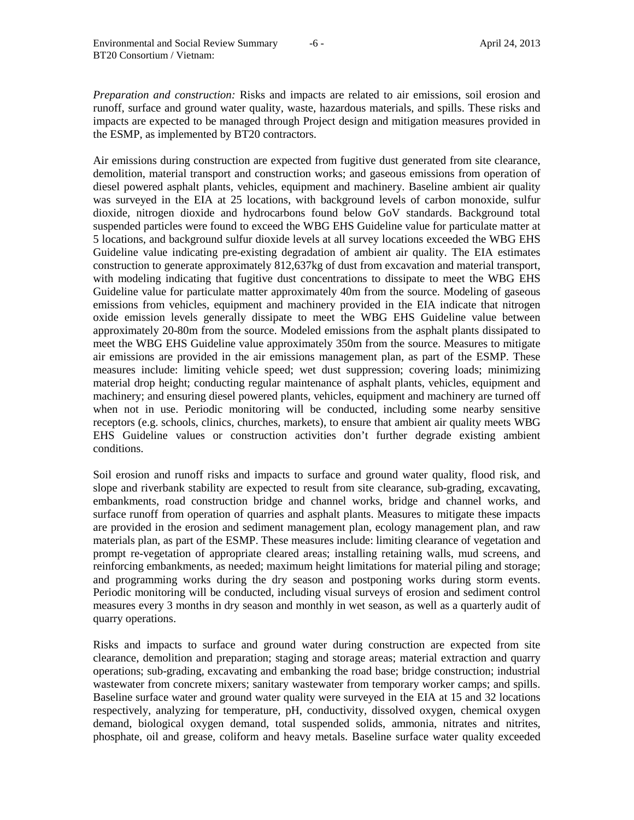*Preparation and construction:* Risks and impacts are related to air emissions, soil erosion and runoff, surface and ground water quality, waste, hazardous materials, and spills. These risks and impacts are expected to be managed through Project design and mitigation measures provided in the ESMP, as implemented by BT20 contractors.

Air emissions during construction are expected from fugitive dust generated from site clearance, demolition, material transport and construction works; and gaseous emissions from operation of diesel powered asphalt plants, vehicles, equipment and machinery. Baseline ambient air quality was surveyed in the EIA at 25 locations, with background levels of carbon monoxide, sulfur dioxide, nitrogen dioxide and hydrocarbons found below GoV standards. Background total suspended particles were found to exceed the WBG EHS Guideline value for particulate matter at 5 locations, and background sulfur dioxide levels at all survey locations exceeded the WBG EHS Guideline value indicating pre-existing degradation of ambient air quality. The EIA estimates construction to generate approximately 812,637kg of dust from excavation and material transport, with modeling indicating that fugitive dust concentrations to dissipate to meet the WBG EHS Guideline value for particulate matter approximately 40m from the source. Modeling of gaseous emissions from vehicles, equipment and machinery provided in the EIA indicate that nitrogen oxide emission levels generally dissipate to meet the WBG EHS Guideline value between approximately 20-80m from the source. Modeled emissions from the asphalt plants dissipated to meet the WBG EHS Guideline value approximately 350m from the source. Measures to mitigate air emissions are provided in the air emissions management plan, as part of the ESMP. These measures include: limiting vehicle speed; wet dust suppression; covering loads; minimizing material drop height; conducting regular maintenance of asphalt plants, vehicles, equipment and machinery; and ensuring diesel powered plants, vehicles, equipment and machinery are turned off when not in use. Periodic monitoring will be conducted, including some nearby sensitive receptors (e.g. schools, clinics, churches, markets), to ensure that ambient air quality meets WBG EHS Guideline values or construction activities don't further degrade existing ambient conditions.

Soil erosion and runoff risks and impacts to surface and ground water quality, flood risk, and slope and riverbank stability are expected to result from site clearance, sub-grading, excavating, embankments, road construction bridge and channel works, bridge and channel works, and surface runoff from operation of quarries and asphalt plants. Measures to mitigate these impacts are provided in the erosion and sediment management plan, ecology management plan, and raw materials plan, as part of the ESMP. These measures include: limiting clearance of vegetation and prompt re-vegetation of appropriate cleared areas; installing retaining walls, mud screens, and reinforcing embankments, as needed; maximum height limitations for material piling and storage; and programming works during the dry season and postponing works during storm events. Periodic monitoring will be conducted, including visual surveys of erosion and sediment control measures every 3 months in dry season and monthly in wet season, as well as a quarterly audit of quarry operations.

Risks and impacts to surface and ground water during construction are expected from site clearance, demolition and preparation; staging and storage areas; material extraction and quarry operations; sub-grading, excavating and embanking the road base; bridge construction; industrial wastewater from concrete mixers; sanitary wastewater from temporary worker camps; and spills. Baseline surface water and ground water quality were surveyed in the EIA at 15 and 32 locations respectively, analyzing for temperature, pH, conductivity, dissolved oxygen, chemical oxygen demand, biological oxygen demand, total suspended solids, ammonia, nitrates and nitrites, phosphate, oil and grease, coliform and heavy metals. Baseline surface water quality exceeded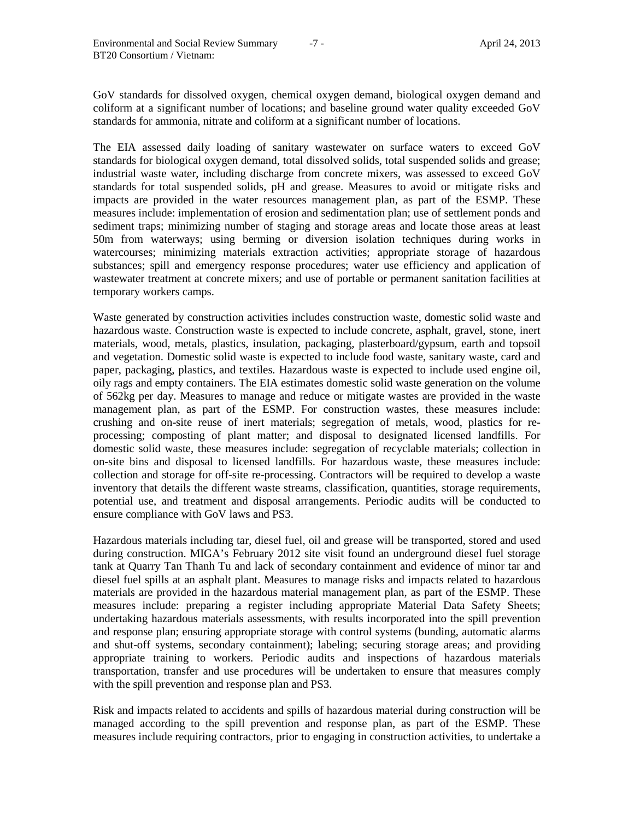GoV standards for dissolved oxygen, chemical oxygen demand, biological oxygen demand and coliform at a significant number of locations; and baseline ground water quality exceeded GoV standards for ammonia, nitrate and coliform at a significant number of locations.

The EIA assessed daily loading of sanitary wastewater on surface waters to exceed GoV standards for biological oxygen demand, total dissolved solids, total suspended solids and grease; industrial waste water, including discharge from concrete mixers, was assessed to exceed GoV standards for total suspended solids, pH and grease. Measures to avoid or mitigate risks and impacts are provided in the water resources management plan, as part of the ESMP. These measures include: implementation of erosion and sedimentation plan; use of settlement ponds and sediment traps; minimizing number of staging and storage areas and locate those areas at least 50m from waterways; using berming or diversion isolation techniques during works in watercourses; minimizing materials extraction activities; appropriate storage of hazardous substances; spill and emergency response procedures; water use efficiency and application of wastewater treatment at concrete mixers; and use of portable or permanent sanitation facilities at temporary workers camps.

Waste generated by construction activities includes construction waste, domestic solid waste and hazardous waste. Construction waste is expected to include concrete, asphalt, gravel, stone, inert materials, wood, metals, plastics, insulation, packaging, plasterboard/gypsum, earth and topsoil and vegetation. Domestic solid waste is expected to include food waste, sanitary waste, card and paper, packaging, plastics, and textiles. Hazardous waste is expected to include used engine oil, oily rags and empty containers. The EIA estimates domestic solid waste generation on the volume of 562kg per day. Measures to manage and reduce or mitigate wastes are provided in the waste management plan, as part of the ESMP. For construction wastes, these measures include: crushing and on-site reuse of inert materials; segregation of metals, wood, plastics for reprocessing; composting of plant matter; and disposal to designated licensed landfills. For domestic solid waste, these measures include: segregation of recyclable materials; collection in on-site bins and disposal to licensed landfills. For hazardous waste, these measures include: collection and storage for off-site re-processing. Contractors will be required to develop a waste inventory that details the different waste streams, classification, quantities, storage requirements, potential use, and treatment and disposal arrangements. Periodic audits will be conducted to ensure compliance with GoV laws and PS3.

Hazardous materials including tar, diesel fuel, oil and grease will be transported, stored and used during construction. MIGA's February 2012 site visit found an underground diesel fuel storage tank at Quarry Tan Thanh Tu and lack of secondary containment and evidence of minor tar and diesel fuel spills at an asphalt plant. Measures to manage risks and impacts related to hazardous materials are provided in the hazardous material management plan, as part of the ESMP. These measures include: preparing a register including appropriate Material Data Safety Sheets; undertaking hazardous materials assessments, with results incorporated into the spill prevention and response plan; ensuring appropriate storage with control systems (bunding, automatic alarms and shut-off systems, secondary containment); labeling; securing storage areas; and providing appropriate training to workers. Periodic audits and inspections of hazardous materials transportation, transfer and use procedures will be undertaken to ensure that measures comply with the spill prevention and response plan and PS3.

Risk and impacts related to accidents and spills of hazardous material during construction will be managed according to the spill prevention and response plan, as part of the ESMP. These measures include requiring contractors, prior to engaging in construction activities, to undertake a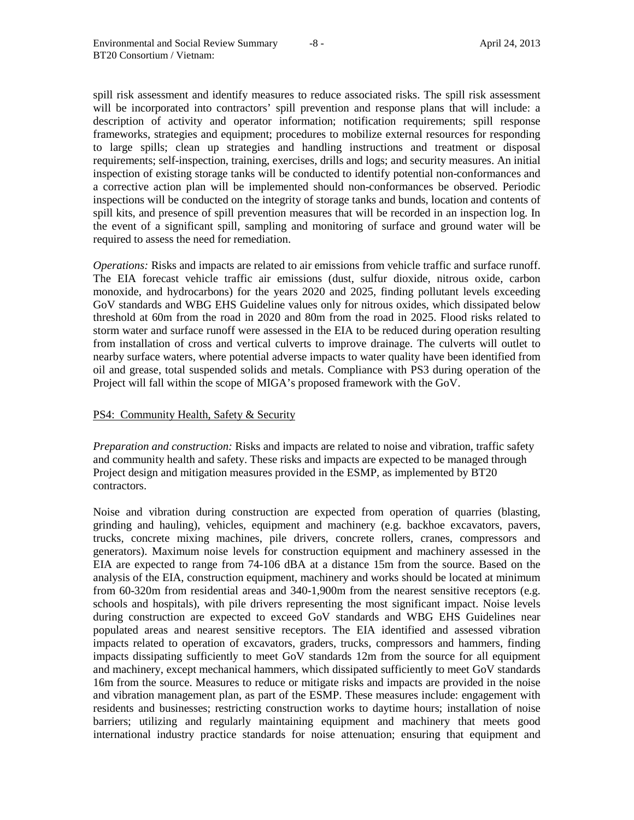spill risk assessment and identify measures to reduce associated risks. The spill risk assessment will be incorporated into contractors' spill prevention and response plans that will include: a description of activity and operator information; notification requirements; spill response frameworks, strategies and equipment; procedures to mobilize external resources for responding to large spills; clean up strategies and handling instructions and treatment or disposal requirements; self-inspection, training, exercises, drills and logs; and security measures. An initial inspection of existing storage tanks will be conducted to identify potential non-conformances and a corrective action plan will be implemented should non-conformances be observed. Periodic inspections will be conducted on the integrity of storage tanks and bunds, location and contents of spill kits, and presence of spill prevention measures that will be recorded in an inspection log. In the event of a significant spill, sampling and monitoring of surface and ground water will be required to assess the need for remediation.

*Operations:* Risks and impacts are related to air emissions from vehicle traffic and surface runoff. The EIA forecast vehicle traffic air emissions (dust, sulfur dioxide, nitrous oxide, carbon monoxide, and hydrocarbons) for the years 2020 and 2025, finding pollutant levels exceeding GoV standards and WBG EHS Guideline values only for nitrous oxides, which dissipated below threshold at 60m from the road in 2020 and 80m from the road in 2025. Flood risks related to storm water and surface runoff were assessed in the EIA to be reduced during operation resulting from installation of cross and vertical culverts to improve drainage. The culverts will outlet to nearby surface waters, where potential adverse impacts to water quality have been identified from oil and grease, total suspended solids and metals. Compliance with PS3 during operation of the Project will fall within the scope of MIGA's proposed framework with the GoV.

#### PS4: Community Health, Safety & Security

*Preparation and construction:* Risks and impacts are related to noise and vibration, traffic safety and community health and safety. These risks and impacts are expected to be managed through Project design and mitigation measures provided in the ESMP, as implemented by BT20 contractors.

Noise and vibration during construction are expected from operation of quarries (blasting, grinding and hauling), vehicles, equipment and machinery (e.g. backhoe excavators, pavers, trucks, concrete mixing machines, pile drivers, concrete rollers, cranes, compressors and generators). Maximum noise levels for construction equipment and machinery assessed in the EIA are expected to range from 74-106 dBA at a distance 15m from the source. Based on the analysis of the EIA, construction equipment, machinery and works should be located at minimum from 60-320m from residential areas and 340-1,900m from the nearest sensitive receptors (e.g. schools and hospitals), with pile drivers representing the most significant impact. Noise levels during construction are expected to exceed GoV standards and WBG EHS Guidelines near populated areas and nearest sensitive receptors. The EIA identified and assessed vibration impacts related to operation of excavators, graders, trucks, compressors and hammers, finding impacts dissipating sufficiently to meet GoV standards 12m from the source for all equipment and machinery, except mechanical hammers, which dissipated sufficiently to meet GoV standards 16m from the source. Measures to reduce or mitigate risks and impacts are provided in the noise and vibration management plan, as part of the ESMP. These measures include: engagement with residents and businesses; restricting construction works to daytime hours; installation of noise barriers; utilizing and regularly maintaining equipment and machinery that meets good international industry practice standards for noise attenuation; ensuring that equipment and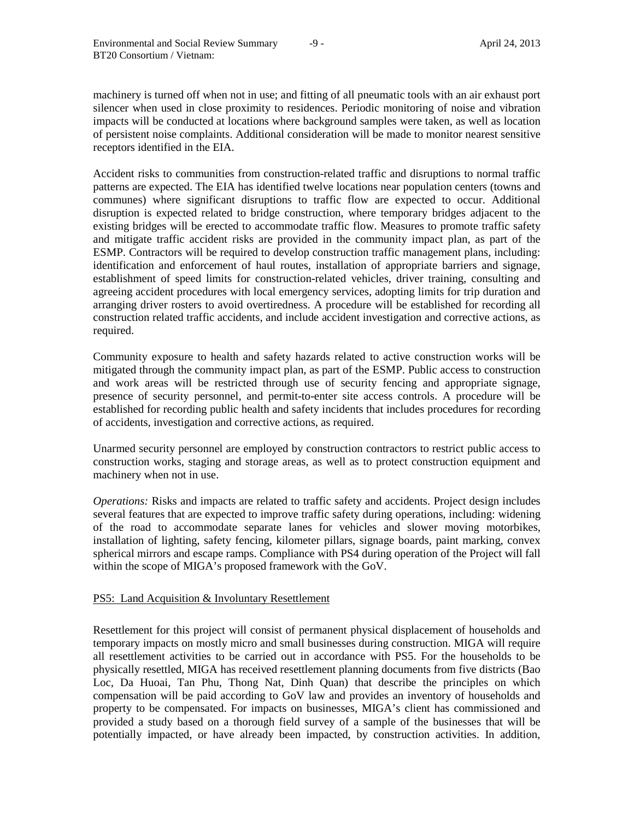machinery is turned off when not in use; and fitting of all pneumatic tools with an air exhaust port silencer when used in close proximity to residences. Periodic monitoring of noise and vibration impacts will be conducted at locations where background samples were taken, as well as location of persistent noise complaints. Additional consideration will be made to monitor nearest sensitive receptors identified in the EIA.

Accident risks to communities from construction-related traffic and disruptions to normal traffic patterns are expected. The EIA has identified twelve locations near population centers (towns and communes) where significant disruptions to traffic flow are expected to occur. Additional disruption is expected related to bridge construction, where temporary bridges adjacent to the existing bridges will be erected to accommodate traffic flow. Measures to promote traffic safety and mitigate traffic accident risks are provided in the community impact plan, as part of the ESMP. Contractors will be required to develop construction traffic management plans, including: identification and enforcement of haul routes, installation of appropriate barriers and signage, establishment of speed limits for construction-related vehicles, driver training, consulting and agreeing accident procedures with local emergency services, adopting limits for trip duration and arranging driver rosters to avoid overtiredness. A procedure will be established for recording all construction related traffic accidents, and include accident investigation and corrective actions, as required.

Community exposure to health and safety hazards related to active construction works will be mitigated through the community impact plan, as part of the ESMP. Public access to construction and work areas will be restricted through use of security fencing and appropriate signage, presence of security personnel, and permit-to-enter site access controls. A procedure will be established for recording public health and safety incidents that includes procedures for recording of accidents, investigation and corrective actions, as required.

Unarmed security personnel are employed by construction contractors to restrict public access to construction works, staging and storage areas, as well as to protect construction equipment and machinery when not in use.

*Operations:* Risks and impacts are related to traffic safety and accidents. Project design includes several features that are expected to improve traffic safety during operations, including: widening of the road to accommodate separate lanes for vehicles and slower moving motorbikes, installation of lighting, safety fencing, kilometer pillars, signage boards, paint marking, convex spherical mirrors and escape ramps. Compliance with PS4 during operation of the Project will fall within the scope of MIGA's proposed framework with the GoV.

### PS5: Land Acquisition & Involuntary Resettlement

Resettlement for this project will consist of permanent physical displacement of households and temporary impacts on mostly micro and small businesses during construction. MIGA will require all resettlement activities to be carried out in accordance with PS5. For the households to be physically resettled, MIGA has received resettlement planning documents from five districts (Bao Loc, Da Huoai, Tan Phu, Thong Nat, Dinh Quan) that describe the principles on which compensation will be paid according to GoV law and provides an inventory of households and property to be compensated. For impacts on businesses, MIGA's client has commissioned and provided a study based on a thorough field survey of a sample of the businesses that will be potentially impacted, or have already been impacted, by construction activities. In addition,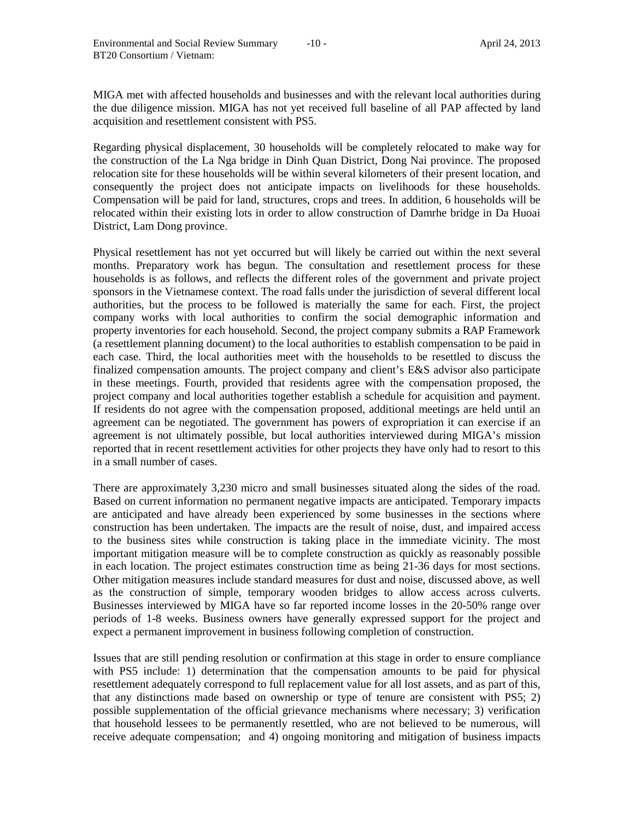MIGA met with affected households and businesses and with the relevant local authorities during the due diligence mission. MIGA has not yet received full baseline of all PAP affected by land acquisition and resettlement consistent with PS5.

Regarding physical displacement, 30 households will be completely relocated to make way for the construction of the La Nga bridge in Dinh Quan District, Dong Nai province. The proposed relocation site for these households will be within several kilometers of their present location, and consequently the project does not anticipate impacts on livelihoods for these households. Compensation will be paid for land, structures, crops and trees. In addition, 6 households will be relocated within their existing lots in order to allow construction of Damrhe bridge in Da Huoai District, Lam Dong province.

Physical resettlement has not yet occurred but will likely be carried out within the next several months. Preparatory work has begun. The consultation and resettlement process for these households is as follows, and reflects the different roles of the government and private project sponsors in the Vietnamese context. The road falls under the jurisdiction of several different local authorities, but the process to be followed is materially the same for each. First, the project company works with local authorities to confirm the social demographic information and property inventories for each household. Second, the project company submits a RAP Framework (a resettlement planning document) to the local authorities to establish compensation to be paid in each case. Third, the local authorities meet with the households to be resettled to discuss the finalized compensation amounts. The project company and client's E&S advisor also participate in these meetings. Fourth, provided that residents agree with the compensation proposed, the project company and local authorities together establish a schedule for acquisition and payment. If residents do not agree with the compensation proposed, additional meetings are held until an agreement can be negotiated. The government has powers of expropriation it can exercise if an agreement is not ultimately possible, but local authorities interviewed during MIGA's mission reported that in recent resettlement activities for other projects they have only had to resort to this in a small number of cases.

There are approximately 3,230 micro and small businesses situated along the sides of the road. Based on current information no permanent negative impacts are anticipated. Temporary impacts are anticipated and have already been experienced by some businesses in the sections where construction has been undertaken. The impacts are the result of noise, dust, and impaired access to the business sites while construction is taking place in the immediate vicinity. The most important mitigation measure will be to complete construction as quickly as reasonably possible in each location. The project estimates construction time as being 21-36 days for most sections. Other mitigation measures include standard measures for dust and noise, discussed above, as well as the construction of simple, temporary wooden bridges to allow access across culverts. Businesses interviewed by MIGA have so far reported income losses in the 20-50% range over periods of 1-8 weeks. Business owners have generally expressed support for the project and expect a permanent improvement in business following completion of construction.

Issues that are still pending resolution or confirmation at this stage in order to ensure compliance with PS5 include: 1) determination that the compensation amounts to be paid for physical resettlement adequately correspond to full replacement value for all lost assets, and as part of this, that any distinctions made based on ownership or type of tenure are consistent with PS5; 2) possible supplementation of the official grievance mechanisms where necessary; 3) verification that household lessees to be permanently resettled, who are not believed to be numerous, will receive adequate compensation; and 4) ongoing monitoring and mitigation of business impacts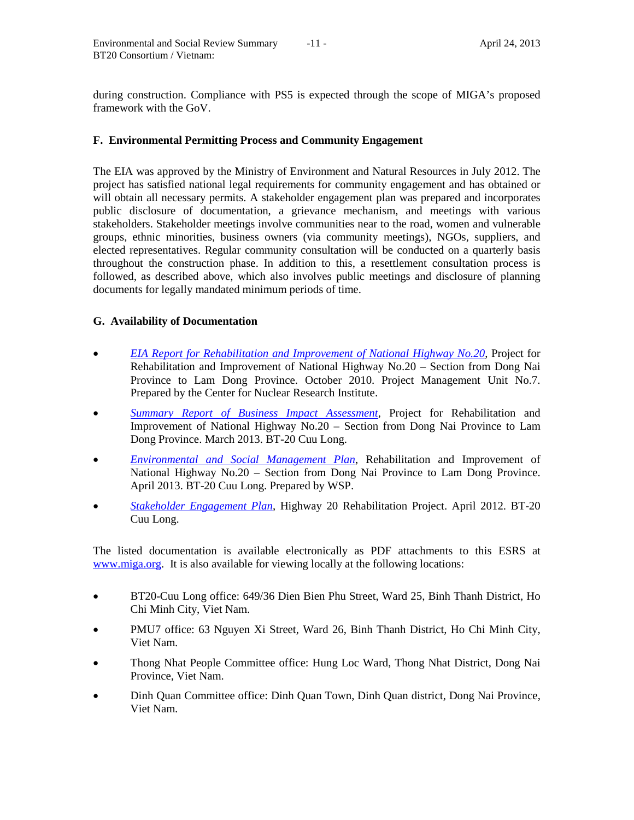during construction. Compliance with PS5 is expected through the scope of MIGA's proposed framework with the GoV.

# **F. Environmental Permitting Process and Community Engagement**

The EIA was approved by the Ministry of Environment and Natural Resources in July 2012. The project has satisfied national legal requirements for community engagement and has obtained or will obtain all necessary permits. A stakeholder engagement plan was prepared and incorporates public disclosure of documentation, a grievance mechanism, and meetings with various stakeholders. Stakeholder meetings involve communities near to the road, women and vulnerable groups, ethnic minorities, business owners (via community meetings), NGOs, suppliers, and elected representatives. Regular community consultation will be conducted on a quarterly basis throughout the construction phase. In addition to this, a resettlement consultation process is followed, as described above, which also involves public meetings and disclosure of planning documents for legally mandated minimum periods of time.

## **G. Availability of Documentation**

- *[EIA Report for Rehabilitation and Improvement of National Highway No.20](http://www.miga.org/documents/BT20_EIA.pdf)*, Project for Rehabilitation and Improvement of National Highway No.20 – Section from Dong Nai Province to Lam Dong Province. October 2010. Project Management Unit No.7. Prepared by the Center for Nuclear Research Institute.
- *[Summary Report of Business Impact Assessment](http://www.miga.org/documents/BT20_Business_Impact_assessment.pdf)*, Project for Rehabilitation and Improvement of National Highway No.20 – Section from Dong Nai Province to Lam Dong Province. March 2013. BT-20 Cuu Long.
- *[Environmental and Social Management Plan](http://www.miga.org/documents/BT20_ESMP.pdf)*, Rehabilitation and Improvement of National Highway No.20 – Section from Dong Nai Province to Lam Dong Province. April 2013. BT-20 Cuu Long. Prepared by WSP.
- *[Stakeholder Engagement Plan](http://www.miga.org/documents/BT20_Stakeholder_Engagement_Plan.pdf)*, Highway 20 Rehabilitation Project. April 2012. BT-20 Cuu Long.

The listed documentation is available electronically as PDF attachments to this ESRS at [www.miga.org.](http://www.miga.org/) It is also available for viewing locally at the following locations:

- BT20-Cuu Long office: 649/36 Dien Bien Phu Street, Ward 25, Binh Thanh District, Ho Chi Minh City, Viet Nam.
- PMU7 office: 63 Nguyen Xi Street, Ward 26, Binh Thanh District, Ho Chi Minh City, Viet Nam.
- Thong Nhat People Committee office: Hung Loc Ward, Thong Nhat District, Dong Nai Province, Viet Nam.
- Dinh Quan Committee office: Dinh Quan Town, Dinh Quan district, Dong Nai Province, Viet Nam.